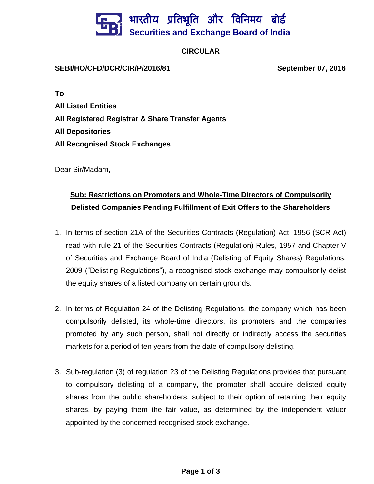## भारतीय प्रतिभूति और विनिमय बो**र्ड Securities and Exchange Board of India**

## **CIRCULAR**

## **SEBI/HO/CFD/DCR/CIR/P/2016/81 September 07, 2016**

**To**

**All Listed Entities All Registered Registrar & Share Transfer Agents All Depositories All Recognised Stock Exchanges**

Dear Sir/Madam,

## **Sub: Restrictions on Promoters and Whole-Time Directors of Compulsorily Delisted Companies Pending Fulfillment of Exit Offers to the Shareholders**

- 1. In terms of section 21A of the Securities Contracts (Regulation) Act, 1956 (SCR Act) read with rule 21 of the Securities Contracts (Regulation) Rules, 1957 and Chapter V of Securities and Exchange Board of India (Delisting of Equity Shares) Regulations, 2009 ("Delisting Regulations"), a recognised stock exchange may compulsorily delist the equity shares of a listed company on certain grounds.
- 2. In terms of Regulation 24 of the Delisting Regulations, the company which has been compulsorily delisted, its whole-time directors, its promoters and the companies promoted by any such person, shall not directly or indirectly access the securities markets for a period of ten years from the date of compulsory delisting.
- 3. Sub-regulation (3) of regulation 23 of the Delisting Regulations provides that pursuant to compulsory delisting of a company, the promoter shall acquire delisted equity shares from the public shareholders, subject to their option of retaining their equity shares, by paying them the fair value, as determined by the independent valuer appointed by the concerned recognised stock exchange.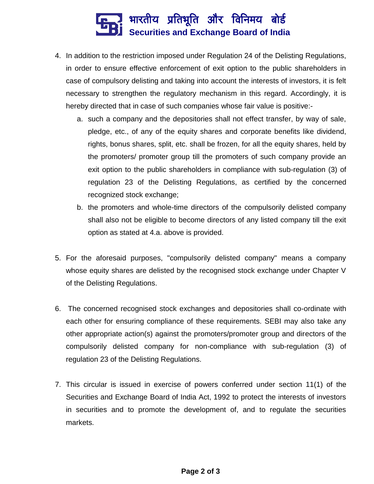

- 4. In addition to the restriction imposed under Regulation 24 of the Delisting Regulations, in order to ensure effective enforcement of exit option to the public shareholders in case of compulsory delisting and taking into account the interests of investors, it is felt necessary to strengthen the regulatory mechanism in this regard. Accordingly, it is hereby directed that in case of such companies whose fair value is positive:
	- a. such a company and the depositories shall not effect transfer, by way of sale, pledge, etc., of any of the equity shares and corporate benefits like dividend, rights, bonus shares, split, etc. shall be frozen, for all the equity shares, held by the promoters/ promoter group till the promoters of such company provide an exit option to the public shareholders in compliance with sub-regulation (3) of regulation 23 of the Delisting Regulations, as certified by the concerned recognized stock exchange;
	- b. the promoters and whole-time directors of the compulsorily delisted company shall also not be eligible to become directors of any listed company till the exit option as stated at 4.a. above is provided.
- 5. For the aforesaid purposes, "compulsorily delisted company" means a company whose equity shares are delisted by the recognised stock exchange under Chapter V of the Delisting Regulations.
- 6. The concerned recognised stock exchanges and depositories shall co-ordinate with each other for ensuring compliance of these requirements. SEBI may also take any other appropriate action(s) against the promoters/promoter group and directors of the compulsorily delisted company for non-compliance with sub-regulation (3) of regulation 23 of the Delisting Regulations.
- 7. This circular is issued in exercise of powers conferred under section 11(1) of the Securities and Exchange Board of India Act, 1992 to protect the interests of investors in securities and to promote the development of, and to regulate the securities markets.